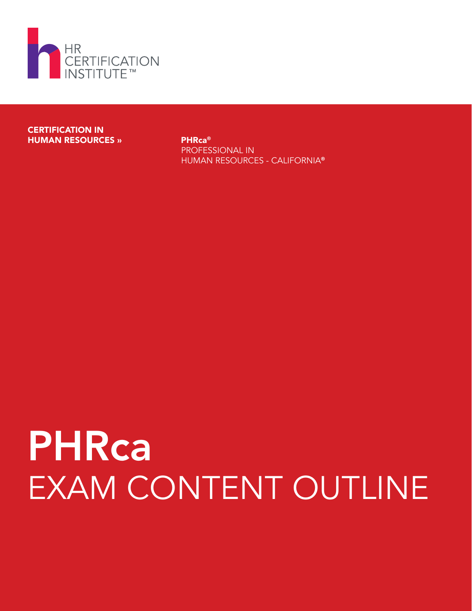

#### CERTIFICATION IN HUMAN RESOURCES » PHRca<sup>®</sup>

PROFESSIONAL IN HUMAN RESOURCES - CALIFORNIA®

# PHRca EXAM CONTENT OUTLINE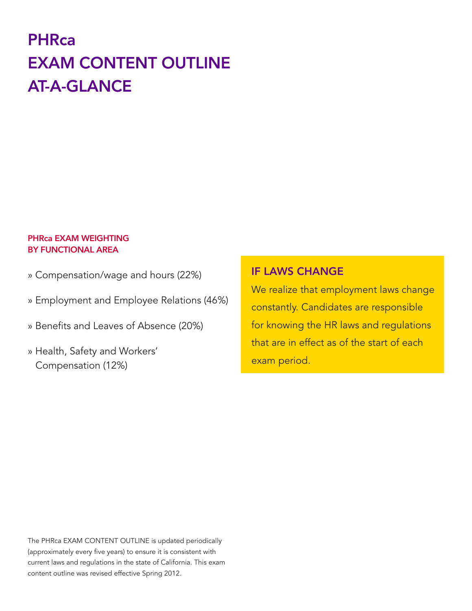## **PHRca** EXAM CONTENT OUTLINE AT-A-GLANCE

#### PHRca EXAM WEIGHTING BY FUNCTIONAL AREA

- » Compensation/wage and hours (22%)
- » Employment and Employee Relations (46%)
- » Benefits and Leaves of Absence (20%)
- » Health, Safety and Workers' Compensation (12%)

#### IF LAWS CHANGE

We realize that employment laws change constantly. Candidates are responsible for knowing the HR laws and regulations that are in effect as of the start of each exam period.

The PHRca EXAM CONTENT OUTLINE is updated periodically (approximately every five years) to ensure it is consistent with current laws and regulations in the state of California. This exam content outline was revised effective Spring 2012.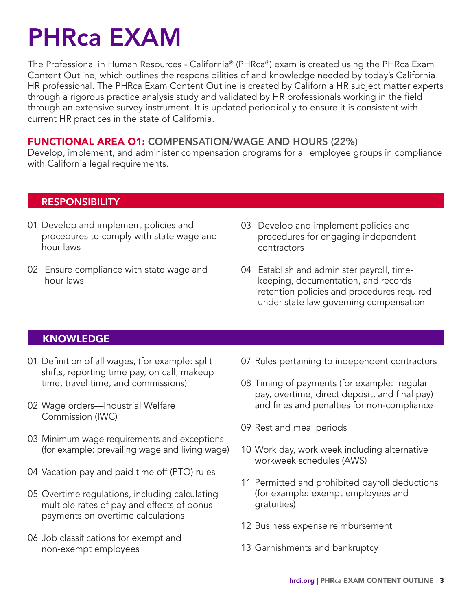## PHRca EXAM

The Professional in Human Resources - California® (PHRca®) exam is created using the PHRca Exam Content Outline, which outlines the responsibilities of and knowledge needed by today's California HR professional. The PHRca Exam Content Outline is created by California HR subject matter experts through a rigorous practice analysis study and validated by HR professionals working in the field through an extensive survey instrument. It is updated periodically to ensure it is consistent with current HR practices in the state of California.

#### FUNCTIONAL AREA O1: COMPENSATION/WAGE AND HOURS (22%)

Develop, implement, and administer compensation programs for all employee groups in compliance with California legal requirements.

#### RESPONSIBILITY

- 01 Develop and implement policies and procedures to comply with state wage and hour laws
- 02 Ensure compliance with state wage and hour laws
- 03 Develop and implement policies and procedures for engaging independent contractors
- 04 Establish and administer payroll, timekeeping, documentation, and records retention policies and procedures required under state law governing compensation

#### KNOWLEDGE

- 01 Definition of all wages, (for example: split shifts, reporting time pay, on call, makeup time, travel time, and commissions)
- 02 Wage orders—Industrial Welfare Commission (IWC)
- 03 Minimum wage requirements and exceptions (for example: prevailing wage and living wage)
- 04 Vacation pay and paid time off (PTO) rules
- 05 Overtime regulations, including calculating multiple rates of pay and effects of bonus payments on overtime calculations
- 06 Job classifications for exempt and non-exempt employees
- 07 Rules pertaining to independent contractors
- 08 Timing of payments (for example: regular pay, overtime, direct deposit, and final pay) and fines and penalties for non-compliance
- 09 Rest and meal periods
- 10 Work day, work week including alternative workweek schedules (AWS)
- 11 Permitted and prohibited payroll deductions (for example: exempt employees and gratuities)
- 12 Business expense reimbursement
- 13 Garnishments and bankruptcy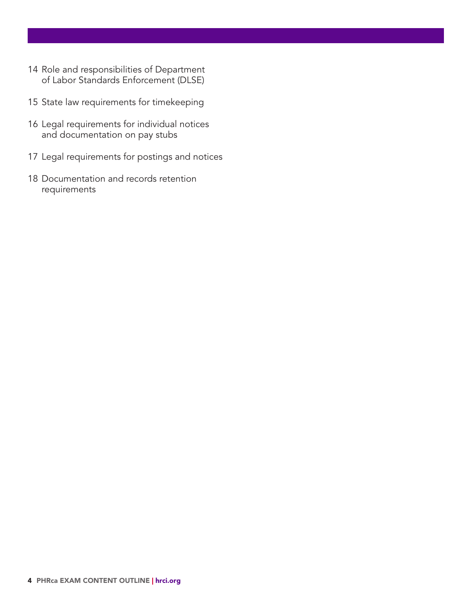- Role and responsibilities of Department of Labor Standards Enforcement (DLSE)
- State law requirements for timekeeping
- Legal requirements for individual notices and documentation on pay stubs
- Legal requirements for postings and notices
- Documentation and records retention requirements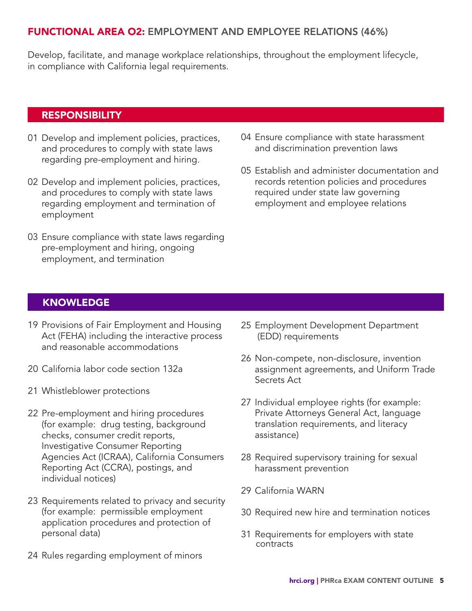#### FUNCTIONAL AREA O2: EMPLOYMENT AND EMPLOYEE RELATIONS (46%)

Develop, facilitate, and manage workplace relationships, throughout the employment lifecycle, in compliance with California legal requirements.

#### **RESPONSIBILITY**

- 01 Develop and implement policies, practices, and procedures to comply with state laws regarding pre-employment and hiring.
- 02 Develop and implement policies, practices, and procedures to comply with state laws regarding employment and termination of employment
- 03 Ensure compliance with state laws regarding pre-employment and hiring, ongoing employment, and termination
- 04 Ensure compliance with state harassment and discrimination prevention laws
- 05 Establish and administer documentation and records retention policies and procedures required under state law governing employment and employee relations

#### KNOWLEDGE

- 19 Provisions of Fair Employment and Housing Act (FEHA) including the interactive process and reasonable accommodations
- 20 California labor code section 132a
- 21 Whistleblower protections
- 22 Pre-employment and hiring procedures (for example: drug testing, background checks, consumer credit reports, Investigative Consumer Reporting Agencies Act (ICRAA), California Consumers Reporting Act (CCRA), postings, and individual notices)
- 23 Requirements related to privacy and security (for example: permissible employment application procedures and protection of personal data)
- 24 Rules regarding employment of minors
- 25 Employment Development Department (EDD) requirements
- 26 Non-compete, non-disclosure, invention assignment agreements, and Uniform Trade Secrets Act
- 27 Individual employee rights (for example: Private Attorneys General Act, language translation requirements, and literacy assistance)
- 28 Required supervisory training for sexual harassment prevention
- 29 California WARN
- 30 Required new hire and termination notices
- 31 Requirements for employers with state contracts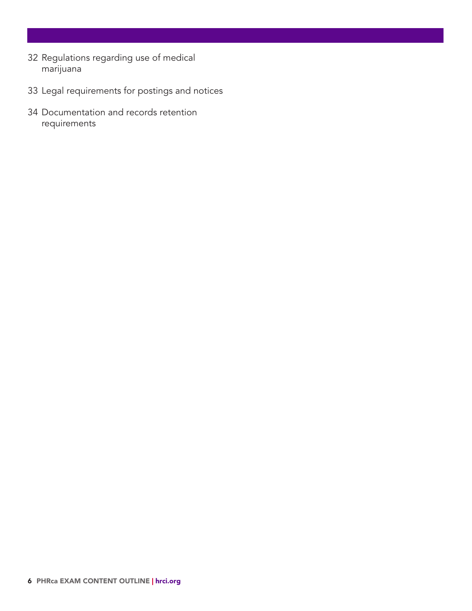- Regulations regarding use of medical marijuana
- Legal requirements for postings and notices
- Documentation and records retention requirements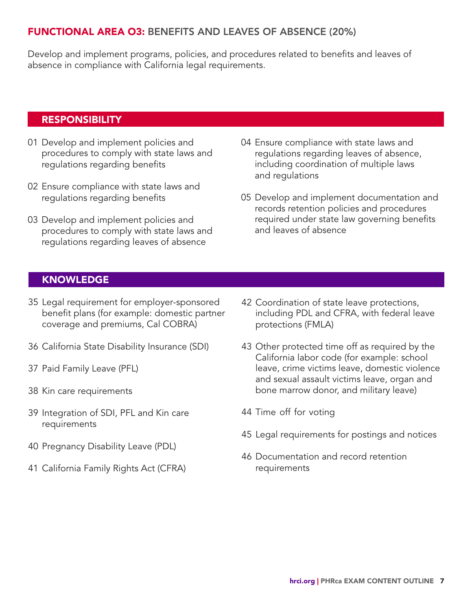#### FUNCTIONAL AREA O3: BENEFITS AND LEAVES OF ABSENCE (20%)

Develop and implement programs, policies, and procedures related to benefits and leaves of absence in compliance with California legal requirements.

#### RESPONSIBILITY

- 01 Develop and implement policies and procedures to comply with state laws and regulations regarding benefits
- 02 Ensure compliance with state laws and regulations regarding benefits
- 03 Develop and implement policies and procedures to comply with state laws and regulations regarding leaves of absence
- 04 Ensure compliance with state laws and regulations regarding leaves of absence, including coordination of multiple laws and regulations
- 05 Develop and implement documentation and records retention policies and procedures required under state law governing benefits and leaves of absence

#### KNOWLEDGE

- 35 Legal requirement for employer-sponsored benefit plans (for example: domestic partner coverage and premiums, Cal COBRA)
- 36 California State Disability Insurance (SDI)
- 37 Paid Family Leave (PFL)
- 38 Kin care requirements
- 39 Integration of SDI, PFL and Kin care requirements
- 40 Pregnancy Disability Leave (PDL)
- 41 California Family Rights Act (CFRA)
- 42 Coordination of state leave protections, including PDL and CFRA, with federal leave protections (FMLA)
- 43 Other protected time off as required by the California labor code (for example: school leave, crime victims leave, domestic violence and sexual assault victims leave, organ and bone marrow donor, and military leave)
- 44 Time off for voting
- 45 Legal requirements for postings and notices
- 46 Documentation and record retention requirements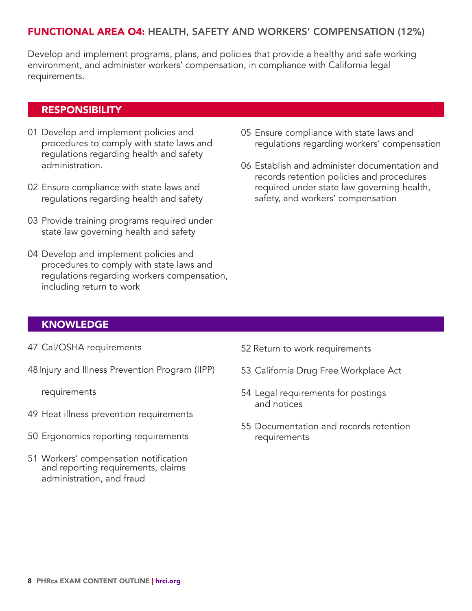#### FUNCTIONAL AREA O4: HEALTH, SAFETY AND WORKERS' COMPENSATION (12%)

Develop and implement programs, plans, and policies that provide a healthy and safe working environment, and administer workers' compensation, in compliance with California legal requirements.

#### RESPONSIBILITY

- 01 Develop and implement policies and procedures to comply with state laws and regulations regarding health and safety administration.
- 02 Ensure compliance with state laws and regulations regarding health and safety
- 03 Provide training programs required under state law governing health and safety
- 04 Develop and implement policies and procedures to comply with state laws and regulations regarding workers compensation, including return to work
- 05 Ensure compliance with state laws and regulations regarding workers' compensation
- 06 Establish and administer documentation and records retention policies and procedures required under state law governing health, safety, and workers' compensation

#### KNOWLEDGE

- 47 Cal/OSHA requirements
- 48Injury and Illness Prevention Program (IIPP)

requirements

- 49 Heat illness prevention requirements
- 50 Ergonomics reporting requirements
- 51 Workers' compensation notification and reporting requirements, claims administration, and fraud
- 52 Return to work requirements
- 53 California Drug Free Workplace Act
- 54 Legal requirements for postings and notices
- 55 Documentation and records retention requirements